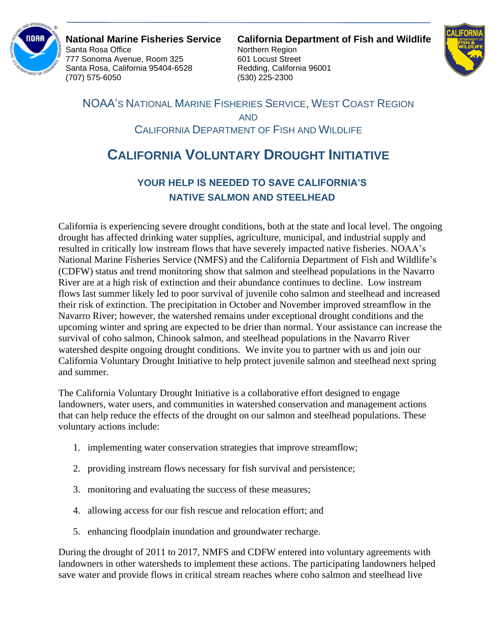

Santa Rosa Office **Northern Region** 777 Sonoma Avenue, Room 325 601 Locust Street Santa Rosa, California 95404-6528 Redding, California 96001 (707) 575-6050 (530) 225-2300

**National Marine Fisheries Service California Department of Fish and Wildlife**



NOAA'S NATIONAL MARINE FISHERIES SERVICE, WEST COAST REGION AND CALIFORNIA DEPARTMENT OF FISH AND WILDLIFE

## **CALIFORNIA VOLUNTARY DROUGHT INITIATIVE**

## **YOUR HELP IS NEEDED TO SAVE CALIFORNIA'S NATIVE SALMON AND STEELHEAD**

California is experiencing severe drought conditions, both at the state and local level. The ongoing drought has affected drinking water supplies, agriculture, municipal, and industrial supply and resulted in critically low instream flows that have severely impacted native fisheries. NOAA's National Marine Fisheries Service (NMFS) and the California Department of Fish and Wildlife's (CDFW) status and trend monitoring show that salmon and steelhead populations in the Navarro River are at a high risk of extinction and their abundance continues to decline. Low instream flows last summer likely led to poor survival of juvenile coho salmon and steelhead and increased their risk of extinction. The precipitation in October and November improved streamflow in the Navarro River; however, the watershed remains under exceptional drought conditions and the upcoming winter and spring are expected to be drier than normal. Your assistance can increase the survival of coho salmon, Chinook salmon, and steelhead populations in the Navarro River watershed despite ongoing drought conditions. We invite you to partner with us and join our California Voluntary Drought Initiative to help protect juvenile salmon and steelhead next spring and summer.

The California Voluntary Drought Initiative is a collaborative effort designed to engage landowners, water users, and communities in watershed conservation and management actions that can help reduce the effects of the drought on our salmon and steelhead populations. These voluntary actions include:

- 1. implementing water conservation strategies that improve streamflow;
- 2. providing instream flows necessary for fish survival and persistence;
- 3. monitoring and evaluating the success of these measures;
- 4. allowing access for our fish rescue and relocation effort; and
- 5. enhancing floodplain inundation and groundwater recharge.

During the drought of 2011 to 2017, NMFS and CDFW entered into voluntary agreements with landowners in other watersheds to implement these actions. The participating landowners helped save water and provide flows in critical stream reaches where coho salmon and steelhead live